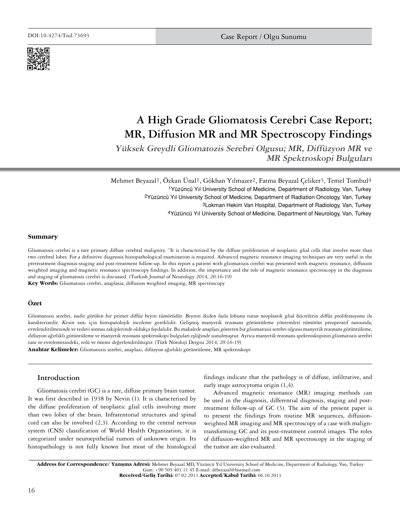

# **A High Grade Gliomatosis Cerebri Case Report; MR, Diffusion MR and MR Spectroscopy Findings**

**Yüksek Greydli Gliomatozis Serebri Olgusu; MR, Diffüzyon MR ve MR Spektroskopi Bulguları**

Mehmet Beyazal1, Özkan Ünal1, Gökhan Yılmazer2, Fatma Beyazal Çeliker3, Temel Tombul4 1Yüzüncü Yıl University School of Medicine, Department of Radiology, Van, Turkey 2Yüzüncü Yıl University School of Medicine, Department of Radiation Oncology, Van, Turkey 3Lokman Hekim Van Hospital, Department of Radiology, Van, Turkey 4Yüzüncü Yıl University School of Medicine, Department of Neurology, Van, Turkey

### **Summary**

Gliomatosis cerebri is a rare primary diffuse cerebral malignity. ''It is characterized by the diffuse proliferation of neoplastic glial cells that involve more than two cerebral lobes. For a definitive diagnosis histopathological examination is required. Advanced magnetic resonance imaging techniques are very useful in the pretreatment diagnosis-staging and post-treatment follow-up. In this report a patient with gliomatozis cerebri was presented with magnetic resonance, diffusion weighted imaging and magnetic resonance spectroscopy findings. In addition, the importance and the role of magnetic resonance spectroscopy in the diagnosis and staging of gliomatosis cerebri is discussed. (Turkish Journal of Neurology 2014; 20:16-19)

**Key Words:** Gliomatosis cerebri, anaplasia, diffusion weighted imaging, MR spectroscopy

## **Özet**

Gliomatozis serebri, nadir görülen bir primer diffüz beyin tümörüdür. Beynin ikiden fazla lobunu tutan neoplastik glial hücrelerin diffüz proliferasyonu ile karakterizedir. Kesin tanı için histopatolojik inceleme gereklidir. Gelişmiş manyetik rezonans görüntüleme yöntemleri tümörün preoperatif tanısında, evrelendirilmesinde ve tedavi sonrası takiplerinde oldukça faydalıdır. Bu makalede anaplazi gösteren bir gliomatozis serebri olgusu manyetik rezonans görüntüleme, difüzyon ağırlıklı görüntüleme ve manyetik rezonans spektroskopi bulguları eşliğinde sunulmuştur. Ayrıca manyetik rezonans spektroskopinin gliomatozis serebri tanı ve evrelemesindeki, rolü ve önemi değerlendirilmiştir. (Türk Nöroloji Dergisi 2014; 20:16-19)

**Anahtar Kelimeler:** Gliomatozis serebri, anaplazi, difüzyon ağırlıklı görüntüleme, MR spektroskopi

## **Introduction**

Gliomatosis cerebri (GC) is a rare, diffuse primary brain tumor. It was first described in 1938 by Nevin (1). It is characterized by the diffuse proliferation of neoplastic glial cells involving more than two lobes of the brain. Infratentorial structures and spinal cord can also be involved (2,3). According to the central nervous system (CNS) classification of World Health Organization, it is categorized under neuroepithelial tumors of unknown origin. Its histopathology is not fully known but most of the histological findings indicate that the pathology is of diffuse, infiltrative, and early stage astrocytoma origin (1,4).

Advanced magnetic resonance (MR) imaging methods can be used in the diagnosis, differential diagnosis, staging and posttreatment follow-up of GC (3). The aim of the present paper is to present the findings from routine MR sequences, diffusionweighted MR imaging and MR spectroscopy of a case with maligntransforming GC and its post-treatment control images. The roles of diffusion-weighted MR and MR spectroscopy in the staging of the tumor are also evaluated.

Address for Correspondence/ Yazışma Adresi: Mehmet Beyazal MD, Yüzüncü Yıl University School of Medicine, Department of Radiology, Van, Turkey Gsm: +90 505 401 11 45 E-mail: drbeyazal@hotmail.com Received/Geliş Tarihi: 07.02.2013 Accepted/Kabul Tarihi: 06.10.2013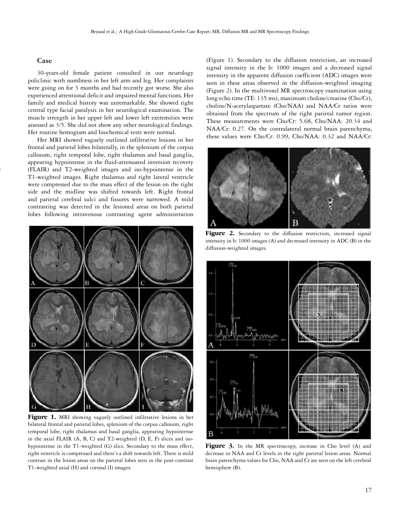### **Case**

30-years-old female patient consulted in our neurology policlinic with numbness in her left arm and leg. Her complaints were going on for 3 months and had recently got worse. She also experienced attentional deficit and impaired mental functions. Her family and medical history was unremarkable. She showed right central type facial paralysis in her neurological examination. The muscle strength in her upper left and lower left extremities were assessed as 3/5. She did not show any other neurological findings. Her routine hemogram and biochemical tests were normal.

Her MRI showed vaguely outlined infiltrative lesions in her frontal and parietal lobes bilaterally, in the splenium of the corpus callosum, right temporal lobe, right thalamus and basal ganglia, appearing hypointense in the fluid-attenuated inversion recovery (FLAIR) and T2-weighted images and iso-hypointense in the T1-weighted images. Right thalamus and right lateral ventricle were compressed due to the mass effect of the lesion on the right side and the midline was shifted towards left. Right frontal and parietal cerebral sulci and fissures were narrowed. A mild contrasting was detected in the lesioned areas on both parietal lobes following intravenous contrasting agent administration



**Figure 1.** MRI showing vaguely outlined infiltrative lesions in her bilateral frontal and parietal lobes, splenium of the corpus callosum, right temporal lobe, right thalamus and basal ganglia, appearing hypointense in the axial FLAIR (A, B, C) and T2-weighted (D, E, F) slices and isohypointense in the T1-weighted (G) slice. Secondary to the mass effect, right ventricle is compressed and there's a shift towards left. There is mild contrast in the lesion areas on the parietal lobes seen in the post-contrast T1-weighted axial (H) and coronal (I) images.

(Figure 1). Secondary to the diffusion restriction, an increased signal intensity in the b: 1000 images and a decreased signal intensity in the apparent diffusion coefficient (ADC) images were seen in these areas observed in the diffusion-weighted imaging (Figure 2). In the multivoxel MR spectroscopy examination using long echo time (TE: 135 ms), maximum choline/creatine (Cho/Cr), choline/N-acetylaspartate (Cho/NAA) and NAA/Cr ratios were obtained from the spectrum of the right parietal tumor region. These measurements were Cho/Cr: 5.68, Cho/NAA: 20.34 and NAA/Cr: 0.27. On the contralateral normal brain parenchyma, these values were Cho/Cr: 0.99, Cho/NAA: 0.32 and NAA/Cr:



Figure 2. Secondary to the diffusion restriction, increased signal intensity in b: 1000 images (A) and decreased intensity in ADC (B) in the diffusion-weighted images.



Figure 3. In the MR spectroscopy, increase in Cho level (A) and decrease in NAA and Cr levels in the right parietal lesion areas. Normal brain parenchyma values for Cho, NAA and Cr are seen on the left cerebral hemisphere (B).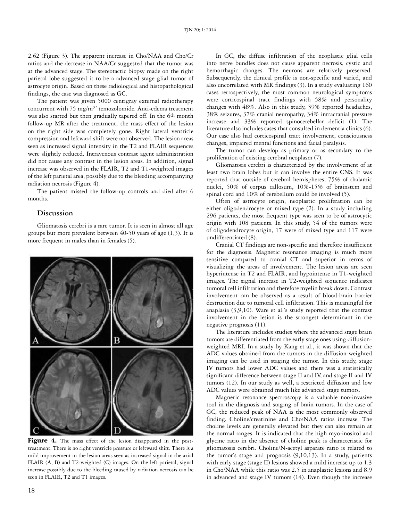2.62 (Figure 3). The apparent increase in Cho/NAA and Cho/Cr ratios and the decrease in NAA/Cr suggested that the tumor was at the advanced stage. The stereotactic biopsy made on the right parietal lobe suggested it to be a advanced stage glial tumor of astrocyte origin. Based on these radiological and histopathological findings, the case was diagnosed as GC.

The patient was given 5000 centigray external radiotherapy concurrent with 75 mg/m2' temozolomide. Anti-edema treatment was also started but then gradually tapered off. In the 6<sup>th</sup> month follow-up MR after the treatment, the mass effect of the lesion on the right side was completely gone. Right lateral ventricle compression and leftward shift were not observed. The lesion areas seen as increased signal intensity in the T2 and FLAIR sequences were slightly reduced. Intravenous contrast agent administration did not cause any contrast in the lesion areas. In addition, signal increase was observed in the FLAIR, T2 and T1-weighted images of the left parietal area, possibly due to the bleeding accompanying radiation necrosis (Figure 4).

The patient missed the follow-up controls and died after 6 months.

## **Discussion**

Gliomatosis cerebri is a rare tumor. It is seen in almost all age groups but more prevalent between 40-50 years of age (1,3). It is more frequent in males than in females (5).



Figure 4. The mass effect of the lesion disappeared in the posttreatment. There is no right ventricle pressure or leftward shift. There is a mild improvement in the lesion areas seen as increased signal in the axial FLAIR (A, B) and T2-weighted (C) images. On the left parietal, signal increase possibly due to the bleeding caused by radiation necrosis can be seen in FLAIR, T2 and T1 images.

In GC, the diffuse infiltration of the neoplastic glial cells into nerve bundles does not cause apparent necrosis, cystic and hemorrhagic changes. The neurons are relatively preserved. Subsequently, the clinical profile is non-specific and varied, and also uncorrelated with MR findings (3). In a study evaluating 160 cases retrospectively, the most common neurological symptoms were corticospinal tract findings with 58% and personality changes with 48%. Also in this study, 39% reported headaches, 38% seizures, 37% cranial neuropathy, 34% intracranial pressure increase and 33% reported spinocerebellar deficit (1). The literature also includes cases that consulted in dementia clinics (6). Our case also had corticospinal tract involvement, consciousness changes, impaired mental functions and facial paralysis.

The tumor can develop as primary or as secondary to the proliferation of existing cerebral neoplasm (7).

Gliomatosis cerebri is characterized by the involvement of at least two brain lobes but it can involve the entire CNS. It was reported that outside of cerebral hemispheres, 75% of thalamic nuclei, 50% of corpus callosum, 10%-15% of brainstem and spinal cord and 10% of cerebellum could be involved (5).

Often of astrocyte origin, neoplastic proliferation can be either oligodendrocyte or mixed type (2). In a study including 296 patients, the most frequent type was seen to be of astrocytic origin with 108 patients. In this study, 54 of the tumors were of oligodendrocyte origin, 17 were of mixed type and 117 were undifferentiated (8).

Cranial CT findings are non-specific and therefore insufficient for the diagnosis. Magnetic resonance imaging is much more sensitive compared to cranial CT and superior in terms of visualizing the areas of involvement. The lesion areas are seen hyperintense in T2 and FLAIR, and hypointense in T1-weighted images. The signal increase in T2-weighted sequence indicates tumoral cell infiltration and therefore myelin break down. Contrast involvement can be observed as a result of blood-brain barrier destruction due to tumoral cell infiltration. This is meaningful for anaplasia (3,9,10). Ware et al.'s study reported that the contrast involvement in the lesion is the strongest determinant in the negative prognosis (11).

The literature includes studies where the advanced stage brain tumors are differentiated from the early stage ones using diffusionweighted MRI. In a study by Kang et al., it was shown that the ADC values obtained from the tumors in the diffusion-weighted imaging can be used in staging the tumor. In this study, stage IV tumors had lower ADC values and there was a statistically significant difference between stage II and IV, and stage II and IV tumors (12). In our study as well, a restricted diffusion and low ADC values were obtained much like advanced stage tumors.

Magnetic resonance spectroscopy is a valuable noo-invasive tool in the diagnosis and staging of brain tumors. In the case of GC, the reduced peak of NAA is the most commonly observed finding. Choline/creatinine and Cho/NAA ratios increase. The choline levels are generally elevated but they can also remain at the normal ranges. It is indicated that the high myo-inositol and glycine ratio in the absence of choline peak is characteristic for gliomatosis cerebri. Choline/N-acetyl asparate ratio is related to the tumor's stage and prognosis (9,10,13). In a study, patients with early stage (stage II) lesions showed a mild increase up to 1.3 in Cho/NAA while this ratio was 2.5 in anaplastic lesions and 8.9 in advanced and stage IV tumors (14). Even though the increase